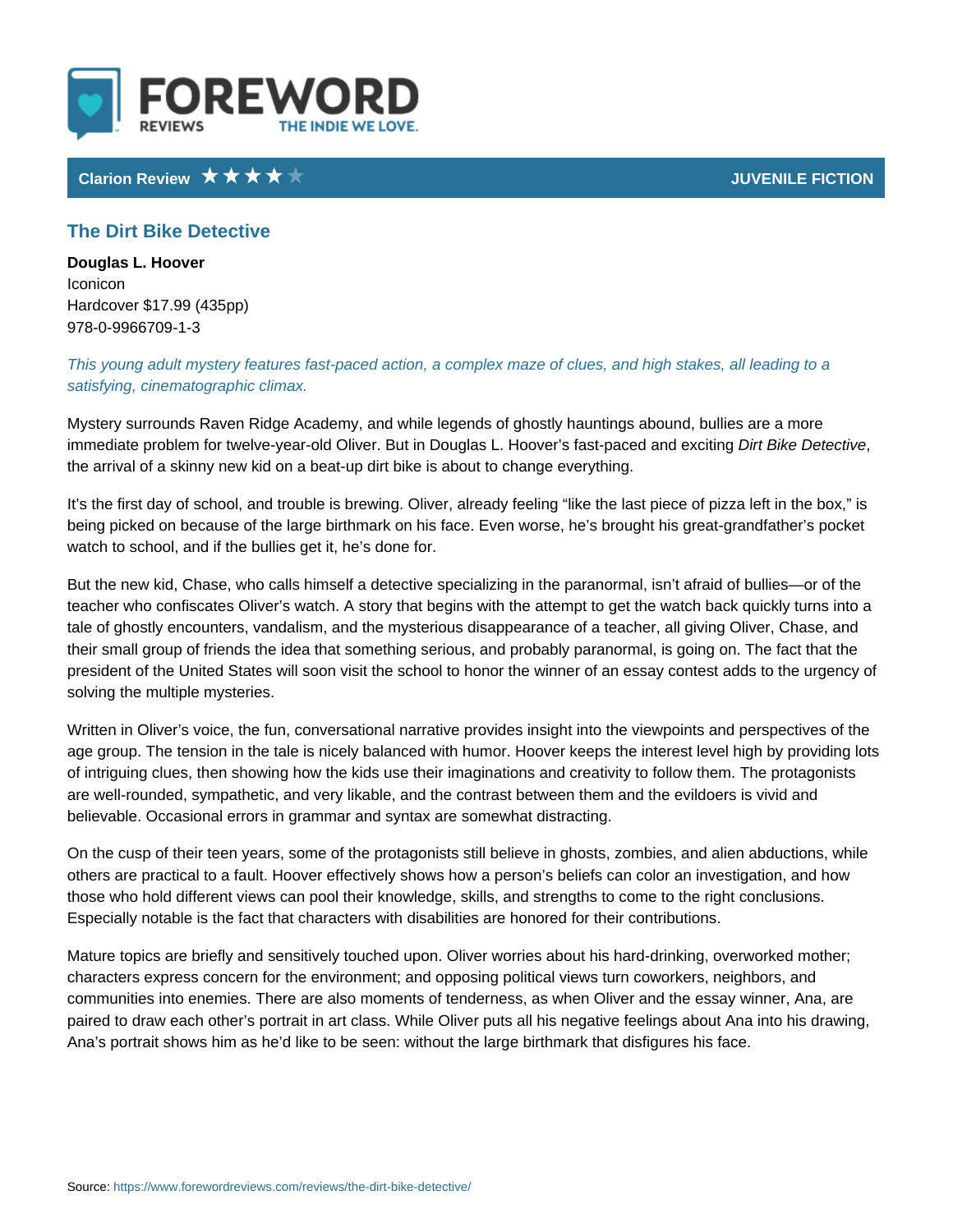Clarion Review JUVENILE FICTION CONTROL CONTROL CONTROL CONTROL CONTROL CONTROL CONTROL CONTROL CONTROL CONTROL

## The Dirt Bike Detective

Douglas L. Hoover Iconicon Hardcover \$17.99 (435pp) 978-0-9966709-1-3

## This young adult mystery features fast-paced action, a complex maze of clues, satisfying, cinematographic climax.

Mystery surrounds Raven Ridge Academy, and while legends of ghostly haunting immediate problem for twelve-year-old Oliver. But in Dougla**sDi**rt HBookoven entativen the arrival of a skinny new kid on a beat-up dirt bike is about to change everyt

It s the first day of school, and trouble is brewing. Oliver, already feeling like being picked on because of the large birthmark on his face. Even worse, he s b watch to school, and if the bullies get it, he s done for.

But the new kid, Chase, who calls himself a detective specializing in the paranormal teacher who confiscates Oliver s watch. A story that begins with the attempt to tale of ghostly encounters, vandalism, and the mysterious disappearance of a teacher, all giving  $\alpha$ their small group of friends the idea that something serious, and probably para president of the United States will soon visit the school to honor the winner of solving the multiple mysteries.

Written in Oliver s voice, the fun, conversational narrative provides insight into age group. The tension in the tale is nicely balanced with humor. Hoover keeps of intriguing clues, then showing how the kids use their imaginations and creat are well-rounded, sympathetic, and very likable, and the contrast between them believable. Occasional errors in grammar and syntax are somewhat distracting.

On the cusp of their teen years, some of the protagonists still believe in ghosts others are practical to a fault. Hoover effectively shows how a person s beliefs those who hold different views can pool their knowledge, skills, and strengths t Especially notable is the fact that characters with disabilities are honored for t

Mature topics are briefly and sensitively touched upon. Oliver worries about his characters express concern for the environment; and opposing political views to communities into enemies. There are also moments of tenderness, as when Oliv paired to draw each other s portrait in art class. While Oliver puts all his nega Ana s portrait shows him as he d like to be seen: without the large birthmark th